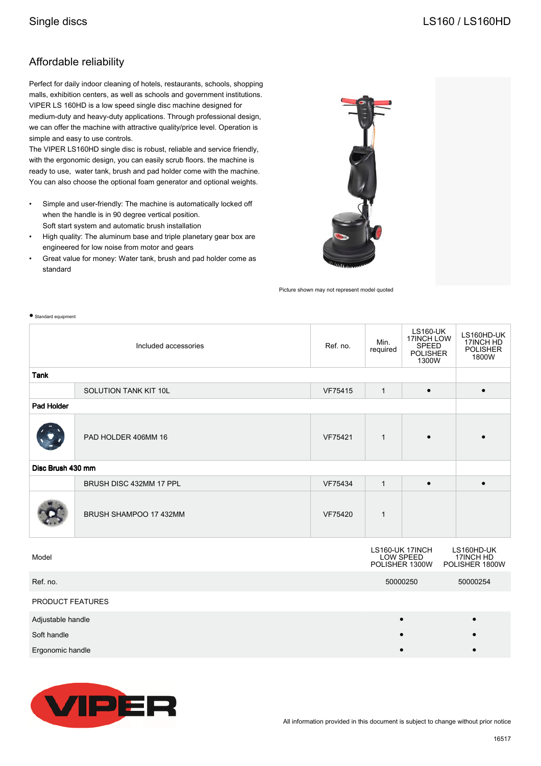$\bullet$  Standard equ

## Affordable reliability

Perfect for daily indoor cleaning of hotels, restaurants, schools, shopping malls, exhibition centers, as well as schools and government institutions. VIPER LS 160HD is a low speed single disc machine designed for medium-duty and heavy-duty applications. Through professional design, we can offer the machine with attractive quality/price level. Operation is simple and easy to use controls.

The VIPER LS160HD single disc is robust, reliable and service friendly, with the ergonomic design, you can easily scrub floors. the machine is ready to use, water tank, brush and pad holder come with the machine. You can also choose the optional foam generator and optional weights.

- Simple and user-friendly: The machine is automatically locked off when the handle is in 90 degree vertical position. Soft start system and automatic brush installation
- High quality: The aluminum base and triple planetary gear box are engineered for low noise from motor and gears
- Great value for money: Water tank, brush and pad holder come as standard



Picture shown may not represent model quoted

| <b>ALC: NO</b>       |                         |          |                  |                                                                    |                                                     |  |  |  |
|----------------------|-------------------------|----------|------------------|--------------------------------------------------------------------|-----------------------------------------------------|--|--|--|
| Included accessories |                         | Ref. no. | Min.<br>required | <b>LS160-UK</b><br>17INCH LOW<br>SPEED<br><b>POLISHER</b><br>1300W | LS160HD-UK<br>17INCH HD<br><b>POLISHER</b><br>1800W |  |  |  |
| <b>Tank</b>          |                         |          |                  |                                                                    |                                                     |  |  |  |
|                      | SOLUTION TANK KIT 10L   | VF75415  | $\mathbf{1}$     | $\bullet$                                                          | $\bullet$                                           |  |  |  |
| Pad Holder           |                         |          |                  |                                                                    |                                                     |  |  |  |
|                      | PAD HOLDER 406MM 16     | VF75421  | $\mathbf{1}$     |                                                                    |                                                     |  |  |  |
| Disc Brush 430 mm    |                         |          |                  |                                                                    |                                                     |  |  |  |
|                      | BRUSH DISC 432MM 17 PPL | VF75434  | $\mathbf{1}$     | $\bullet$                                                          | $\bullet$                                           |  |  |  |
|                      | BRUSH SHAMPOO 17 432MM  | VF75420  | $\mathbf{1}$     |                                                                    |                                                     |  |  |  |
| Model                |                         |          |                  | LS160-UK 17INCH<br>LOW SPEED<br>POLISHER 1300W                     | LS160HD-UK<br>17INCH HD<br>POLISHER 1800W           |  |  |  |
| Ref. no.             |                         |          | 50000250         |                                                                    | 50000254                                            |  |  |  |
| PRODUCT FEATURES     |                         |          |                  |                                                                    |                                                     |  |  |  |
| Adjustable handle    |                         |          |                  |                                                                    | $\bullet$                                           |  |  |  |
| Soft handle          |                         |          |                  |                                                                    |                                                     |  |  |  |
| Ergonomic handle     |                         |          |                  |                                                                    |                                                     |  |  |  |



All information provided in this document is subject to change without prior notice